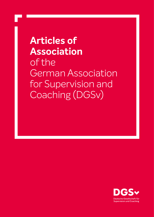**Articles of Association** of the German Association for Supervision and Coaching (DGSv)

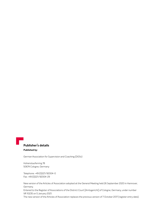# **Publisher's details**

#### **Published by:**

German Association for Supervision and Coaching (DGSv)

Hohenstaufenring 78 50674 Cologne, Germany

Telephone: +49 (0)221/92004-0 Fax: +49 (0)221/92004-29

New version of the Articles of Association adopted at the General Meeting held 26 September 2020 in Hannover, Germany. Entered to the Register of Associations of the District Court [Amtsgericht] of Cologne, Germany, under number VR 10235 on 5 January 2021.

The new version of the Articles of Association replaces the previous version of 7 October 2017 (register entry date).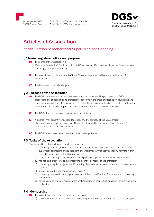

50674 Cologne, Germany **F.** +49 (0)221/92004-29 www.dgsv.de **T.** +49 (0)221/92004-0 Info@dgsv.de



# **Articles of Association**

# of the German Association for Supervision and Coaching

#### **§ 1 Name, registered office and purpose**

- **(1)** The name of the Association is 'Deutsche Gesellschaft für Supervision und Coaching e.V.' [German Association for Supervision and Coaching], abbreviated as 'DGSv'.
- **(2)** The Association has its registered office in Cologne, Germany, and is entered in Register of Associations.
- **(3)** The fiscal year is the calendar year.

#### **§ 2 Purpose of the Association**

- **(1)** The DGSv identifies as a professional association of specialists. The purpose of the DGSv is to promote forms of coaching and professional concerns in the areas of supervision counselling and coaching as a means of reflecting on professional interactions, specifically in the fields of education, healthcare, culture, politics, pastoral care, social work, administration and business.
- **(2)** The DGSv does not pursue economic purposes of its own.
- **(3)** No person may benefit from expenditures alien to the purpose of the DGSv or from disproportionately high remuneration. This shall not extend to the presentation of awards for outstanding cultural or scientific work.
- **(4)** The DGSv is a non-partisan, non-denominational organisation.

#### **§ 3 Tasks of the Association**

The Association achieves its purposes in particular by

- a) promoting coaching, research and education in the world of work and careers on the basis of supervision counselling and subsequent or complementary reflective coaching formats within the national and international frameworks
- b) profiling and distinguishing the professional profile of supervision counsellors and coaches
- c) maintaining, promoting and representing all of the concerns of the profession
- d) promoting a regular, subject-specific sharing of experience between supervision counsellors and coaches
- e) supporting continuing education and training
- f) promoting cooperation with agencies responsible for qualifications for supervision counselling and coaching
- g) developing and implementing professional standards to ensure high quality in the exercise of the profession.

# **§ 4 Membership**

- **(1)** The Association offers the following memberships:
	- a) Ordinary memberships are available to natural persons who, as members of the profession, have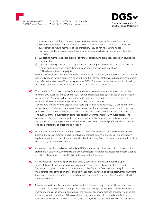**T.** +49 (0)221/92004-0 **F.** +49 (0)221/92004-29 www.dgsv.de Info@dgsv.de Deutsche Gesellschaft für **Supervision und Coaching** 

successfully completed a comprehensive qualification and have professional experience.

- (b) Extraordinary memberships are available to natural persons who complete a comprehensive qualification as future members of the profession. They do not have voting rights.
- c) Honorary memberships are available to natural persons who have made special contributions to the DGSv.
- d) Supporting memberships are available to natural persons who promote supervision counselling and coaching.
- e) Legal memberships are offered to legal entities that competently dedicate their efforts to the promotion of supervision counselling and coaching within the meaning of § 2 (1). They have active voting rights.

Members may append 'DGSv' as a suffix to their names. Extraordinary membership must be suitably identified as such. Legal entities may append the suffix 'Member of the DGSv'. Supporting members may refer to themselves as 'Supporting Member DGSv'. These authorisations shall exist only as long as members demonstrably observe the sets of rules as set forth in § 5 (2).

- **(2)** The conditions for access to a qualification, and the requirements for a qualification within the meaning of Clauses 1 a) and b), and for qualified funding pursuant to e) are based on the 'Standards of the German Association for Supervision and Coaching' as amended from time to time. At a minimum, the conditions for access to a qualification shall comprise: a completed university-level degree, three years of professional experience, 300 time units (of 45 minutes each) of relevant continuing education and training, as well as experience with coaching processes. The standards may permit paths of access alternative to these access conditions. The curriculum for a qualification comprises at least 640 time units of 45 minutes apiece. The other paths of access to membership presented in the DGSv standards are available through the recognition and crediting of accomplishments within of other trade and professional associations and additional forms of proof of qualification.
- **(3)** Decisions on applications for membership submitted in text form shall be taken by the Executive Board in the case of ordinary and extraordinary memberships, and in the case of supporting and legal memberships this decision shall rest with the Supervisory Board. Honorary membership shall be conferred by the Supervisory Board.
- **(4)** A member's membership is deemed resigned if the member submits a resignation by means of a statement in text form submitted to the Executive Board; resignation is possible subject to a period of notice of three months and effective at the end of the fiscal year.
- **(5)** An extraordinary membership shall automatically become an ordinary membership upon successful completion of the qualification on which admission to the Association is based. Successful completion must be communicated to the Executive Board without delay. Extraordinary membership shall come to an end if this qualification is terminated, or, at the latest, after four years' time. Upon request, this period may be extended by one year by the Executive Board in justified, exceptional cases.
- **(6)** Members who violate the standards and obligations referenced in § 5, impede the achievement of the aims of the Association through their behaviour, damage the reputation of the Association, improperly impair the peaceful operation of the Association, or who disclose or support viewpoints incompatible with the values of the Association, may be excluded with immediate effect by resolution of the Executive Board; in less serious cases, the Executive Board may issue a reprimand.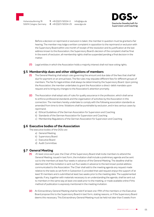50674 Cologne, Germany **F.** +49 (0)221/92004-29 www.dgsv.de **T.** +49 (0)221/92004-0 Info@dgsv.de



Before a decision on reprimand or exclusion is taken, the member in question must be granted a fair hearing. The member may lodge a written complaint in opposition to the reprimand or exclusion with the Supervisory Board within one month of receipt of the resolution and its justification at the last address known to the Association; the Supervisory Board's decision of the complaint shall be final. In the event of exclusion, all membership rights shall be suspended pending a final decision in the matter.

**(7)** Legal entities in which the Association holds a majority interest shall not have voting rights.

#### **§ 5 Membership dues and other obligations of members**

- **(1)** The General Meeting shall adopt rules governing the amount and due date of the fees that shall fall due for payment on an annual basis. The fee rules may stipulate different fees for different groups of members. The fee for legal entities shall always be determined by the Supervisory Board. Upon joining the Association, the member undertakes to grant the Association a direct-debit mandate upon request and to bring any changes to the Association's attention promptly.
- **(2)** The Association shall adopt sets of rules for quality assurance in the profession, which shall serve to enforce professional standards and the organisation of activities by the Association in this connection. The members hereby undertake to comply with the following association standards as amended from time to time. Violations shall be punishable by exclusion, and in less serious cases by reprimand.
	- a) Ethical Guidelines of the German Association for Supervision and Coaching
	- b) Standards of the German Association for Supervision and Coaching
	- c) Membership Regulations of the German Association for Supervision and Coaching

#### **§ 6 Executive bodies of the Association**

The executive bodies of the DGSv are

- a) General Meeting
- b) Supervisory Board
- c) Executive Board
- d) Audit Committee.

#### **§ 7 General Meeting**

- **(1)** *A*t least once each year, the Chair of the Supervisory Board shall invite members to attend the General Meeting; issued in text form, the invitation shall include a preliminary agenda and be sent out to the members at least four weeks in advance of the General Meeting. The deadline shall be deemed met if the invitation is sent out four weeks in advance to the last known postal address communicated to the Association. The Chair shall add to the meeting agenda any request made relative to the tasks as set forth in Subsection 3, provided that said request enjoys the support of at least 10 members and is submitted at least two weeks prior to the meeting date. The supplemented agenda, if any, together with materials necessary to an understanding the agenda, shall be sent out to members in the same way at least one week prior to the meeting, or made available online if this method of publication is expressly mentioned in the meeting invitation.
- **(2)** An Extraordinary General Meeting shall be held if at least one-fifth of the members or the Executive Board propose this to the Supervisory Board in text form, stating reasons, or if the Supervisory Board deems this necessary. This Extraordinary General Meeting must be held not later than 5 weeks from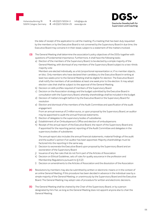

**T.** +49 (0)221/92004-0 **F.** +49 (0)221/92004-29 www.dgsv.de Info@dgsv.de



the date of receipt of the application to call the meeting. If a meeting that has been duly requested by the members or by the Executive Board is not convened by the Supervisory Board in due time, the Executive Board may convene it in their stead, subject to a statement of the matters involved.

- **(3)** The General Meeting shall determine the association's policy objectives of the DGSv together with questions of fundamental importance. Furthermore, it shall have the following tasks:
	- a) Election of the members of the Supervisory Board, to be elected by a simple majority of the General Meeting, with dismissal of any members of the Supervisory Board subject to a two-thirds majority vote

Members are elected individually, as a list/proportional representation or, if no member objects, en bloc. Only members who have declared their candidacy to the Executive Board in writing at least two weeks prior to the General Meeting shall be eligible for election. The Executive Board shall notify the members of all candidates at least one week prior to the election. It may adopt election rules that shall be subject to the approval of the General Meeting.

- b) Decision on skills profiles required of members of the Supervisory Board
- c) Decision on the Association strategy and the budget submitted by the Executive Board in consultation with the Supervisory Board, whereby shareholdings shall be included in the budget
- d) Decision of matters brought before it by the Executive Board or the Supervisory Board for resolution
- e) Election and dismissal of the members of the Audit Committee and specification of the audit engagement

From an annual revenue of 2 million euros, or upon proposal by the Supervisory Board, an auditor may be appointed to audit the annual financial statements.

- f) Election of delegates to the supervisory bodies of subsidiaries
- g) Establishment of an Ombudsperson's Office and election of ombudspersons
- h) Receipt of the annual report of the Executive Board, the report of the Supervisory Board and, if appointed for the reporting period, reporting of the Audit Committee and delegates in the supervisory bodies of subsidiaries

The annual report also includes the annual financial statements, material findings of the audit and the auditor's opinion if an auditor has been appointed. Majority shareholdings must be factored into the reporting in the same way.

- i) Decision to exonerate the Executive Board upon proposal by the Supervisory Board and an exoneration of the Supervisory Board
- j) Issuance of any fee rules that do not form part of the Articles of Association
- k) Decision on Ethical Guidelines, sets of rules for quality assurance in the profession and Membership Regulations pursuant to  $\zeta$  5 (2)
- l) Decision on amendments to the Articles of Association and the dissolution of the Association
- **(4)** Resolutions by members may also be submitted by written or electronic means or in the context of an online General Meeting, if this procedure has been decided in advance in the individual case by a simple majority of the General Meeting, or unanimously by the Supervisory Board and the Executive Board. The General Meeting may adopt rules of procedure for written and electronic decisions.
- **(5)** The General Meeting shall be chaired by the Chair of the Supervisory Board, or by a person designated by him/her, as long as the General Meeting does not appoint anyone else to chair the General Meeting.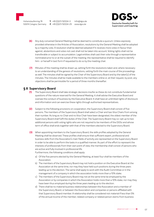**T.** +49 (0)221/92004-0 **F.** +49 (0)221/92004-29 www.dgsv.de Info@dgsv.de



- **(6)** Any duly convened General Meeting shall be deemed to constitute a quorum. Unless expressly provided otherwise in the Articles of Association, resolutions by the General Meeting shall be adopted by a majority vote. A resolution shall be deemed adopted if it receives more votes in favour than against; abstentions and votes not cast shall not be taken into account. Voting rights shall not be transferable or subject to accumulation. Legal entities shall cast their vote through a representative nominated prior to or at the outset of the meeting; the representative shall be required to identify him- or herself in text form if requested to do so by the meeting chair.
- **(7)** Minutes of the meeting shall be drawn up, setting forth the resolutions taken and, where necessary to an understanding of the genesis of resolutions, setting forth the main course of the proceedings as well. The minutes shall be signed by the Chair of the Supervisory Board and by the taker(s) of the minutes. The minutes shall be made available to the members online or, at their request, by post; any objections shall be permissible for a period of three months thereafter.

#### **§ 8 Supervisory Board**

- **(1)** The Supervisory Board shall take strategic decisions insofar as these do not constitute fundamental questions of the nature reserved for the General Meeting; it shall advise the Executive Board and oversee the conduct of business by the Executive Board. It shall have an unlimited rights of disclosure and information and can exercise these rights through authorised representatives.
- **(2)** Subject to the following provisions on cooperation, the Supervisory Board shall consist of five persons. The members of the Supervisory Board shall select a Chair and two Vice Chairs from among their number. As long as no Chair and no Vice Chair have been designated, the oldest member of the Supervisory Board shall fulfil the duties of the Chair. The Supervisory Board may co-opt up to two additional persons with voting rights who are not required to be members of the DGSv and whose term of office shall ends together with that of the members elected to the Supervisory Board.
- **(3)** When appointing members to the Supervisory Board, the skills profiles adopted by the General Meeting shall be observed. These profiles shall ensure that sufficient expert, professional and business skills from the Association's main fields of activity are represented on the Supervisory Board in order to be able to perform the tasks in a qualified manner. As part of the effort to represent the interests of professionals from their own point of view, the membership shall consist of persons who are active and fully involved in professional life.

Furthermore, the following conditions shall apply:

- a) Of the five persons elected by the General Meeting, at least four shall be members of the Association.
- b) The members of the Supervisory Board may not hold a position on the Executive Board at the Association at the same time, nor may they have held such positions during the three years leading up to the election. The same shall apply to work with the Audit Committee or in the management of a company in which the association holds more than a 10% stake.
- c) The members of the Supervisory Board may not at the same time be employed by the Association or by companies in which the Association holds more than a 10% stake, nor may they have been thus employed during the three years leading up to the election.
- d) There shall be no material business relationships between the Association and a member of the Supervisory Board, or between the Association and companies or persons affiliated with that Supervisory Board member. A relationship shall be considered not material if less than 5% of the annual income of the member, related company or related person stems from business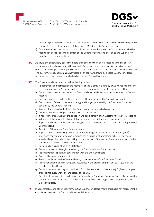**T.** +49 (0)221/92004-0 **F.** +49 (0)221/92004-29 www.dgsv.de Info@dgsv.de



relationships with the Association and its majority shareholdings; the member shall be required to demonstrate this at the request of the General Meeting or the Supervisory Board.

- e) Direct re-election shall be permissible only twice in a row. Potential conflicts of interest shall be reported at once prior to the election of the General Meeting, and later on to the Supervisory Board and the Executive Board.
- **(4)** As a rule, the Supervisory Board members are elected by the General Meeting to terms of four years. In exceptional cases, e.g. in the context of a by-election, an election for a shorter term of office shall also be possible. Supervisory Board members shall remain in office until the next election. The quorum status shall remain unaffected by an early withdrawal by elected Supervisory Board members. A by-election will then be held at the next General Meeting.
- **(5)** The Supervisory Board shall have the following duties:
	- a) Appointment and dismissal of the members of the Executive Board by a two-thirds majority and representation of the Association vis-à-vis the Executive Board in all other legal matters
	- b) Discussion of draft resolutions of the Executive Board and own draft resolutions for the General Meeting
	- c) Development of the skills profiles required for the members of the Supervisory Board
	- d) Coordination of the Association's strategy and budget, prepared by the Executive Board, for decision by the General Meeting
	- e) Receipt of reporting by the Executive Board, in particular quarterly reports
	- f) Decision on the handling of material cases of plan variance
	- g) If necessary, preparation of the selection and appointment of an auditor by the General Meeting
	- h) In the event that an auditor is appointed, receipt of the audit report in text form by any Supervisory Board member and, as a rule, personal consultation with the auditor in a Supervisory Board meeting
	- i) Adoption of the annual financial statements
	- j) Supervision of shareholdings, in particular by including the shareholdings in points c) to h) above and corresponding decisions around the exercise of shareholding rights; in the case of shareholdings, direct decision-making on the adoption of the annual financial statements in the context of an exercise of shareholding rights
	- k) Advice on key issues of policy and strategy
	- d) Decision of matters brought before it by the Executive Board for resolution
	- m) Representation in public, in consultation with the Executive Board
	- n) Award of honorary membership
	- o) Recommendation to the General Meeting on exoneration of the Executive Board
	- p) Resolution on sets of rules for quality assurance in the profession pursuant to  $\zeta$  5 (2) b) of the Standards of the DGSv
	- q) Decision on complaints against exclusion from the Association pursuant to  $\zeta$  5 (6) and in appeals proceedings pursuant to the Standards of the DGSv
	- r) Decision of the rules of procedure for the Supervisory Board and Executive Board, also stipulating general reservations on the part of the Supervisory Board with regard to management by the Executive Board.
- **(6)** In all contractual and other legal matters, two Supervisory Board members shall jointly represent the Association vis-à-vis the Executive Board and the auditor.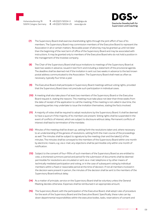50674 Cologne, Germany **F.** +49 (0)221/92004-29 www.dgsv.de **T.** +49 (0)221/92004-0 Info@dgsv.de



- **(7)** The Supervisory Board shall exercise shareholding rights through the joint effort of two of its members. The Supervisory Board may commission members of the Executive Board to represent the Association in all or certain matters. Revocable power of attorney may be granted up until not later than the beginning of the next term of office of the Supervisory Board and may be associated with instructions. It may be granted only to members of the Executive Board who do not hold a position in the management of the investee company.
- **(8)** The Chair of the Supervisory Board shall issue invitations to meetings of the Supervisory Board at least two weeks in advance, issued in text form and including a statement of the provisional agenda. The deadline shall be deemed met if the invitation is sent out two weeks in advance to the last known postal address communicated to the Association. The Supervisory Board shall meet as often as necessary, typically four times a year.
- **(9)** The Executive Board shall participate in Supervisory Board meetings without voting rights, provided that the Supervisory Board does not preclude such participation in individual cases.
- **(10)** A meeting shall also take place if at least two members of the Supervisory Board or the Executive Board request it, stating the reasons. This meeting must take place not later than three weeks from the date of receipt of the application to call the meeting. If the meeting is not called in due time, the requesting parties may undertake to issue the invitation themselves, stating the facts involved.
- **(11)** A majority of votes shall be required to adopt resolutions by the Supervisory Board. It shall be deemed to have a quorum if the majority of its members are present. Voting rights shall be suspended in the event of conflicts of interest, which are subject to disclosure without delay. Permanent conflicts of interest shall lead to termination of the mandate.
- **(12)** Minutes of the meeting shall be drawn up, setting forth the resolutions taken and, where necessary to an understanding of the genesis of resolutions, setting forth the main course of the proceedings as well. The minutes shall be subject to signature by the meeting chair and the taker(s) of the minutes. The minutes shall be conveyed to the members of the Supervisory Board within one month by electronic means, e.g. via e-mail; any objections shall be permissible only within one month of notification.
- **(13)** Subject to the consent of four-fifths of such members of the Supervisory Board as are entitled to vote, a shortened summons period and period for the submission of documents shall be deemed permissible for resolutions are circulated or sent via e-mail, telephone or by other means of technically mediated participation and voting, or in the case of subsequent voting by individual members within a fixed or reasonable period at the time of decision. If not all members involved in the decision were present in person, the minutes of the decision shall be sent to the members of the Supervisory Board without delay.
- **(14)** As a matter of principle, service on the Supervisory Board shall be voluntary unless the General Meeting decides otherwise. Expenses shall be reimbursed in an appropriate amount.
- **(15)** The Supervisory Board, with the participation of the Executive Board, shall adopt rules of procedure for the work of the Supervisory Board and the Executive Board. Specifically, these rules can lay down departmental responsibilities within the executive bodies, tasks, reservations of consent and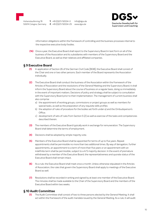50674 Cologne, Germany **F.** +49 (0)221/92004-29 www.dgsv.de **T.** +49 (0)221/92004-0

Info@dgsv.de



information obligations within the framework of controlling and the business processes internal to the respective executive body/bodies.

**(16)** Once a year, the Executive Board shall report to the Supervisory Board in text form on all of the business of the Association and its subsidiaries with members of the Supervisory Board and the Executive Board, as well as their relatives and affiliated companies.

## **§ 9 Executive Board**

- **(1)** In application of Section 26 of the German Civil Code [BGB], the Executive Board shall consist of the Chair and one or two other persons. Each member of the Board represents the Association individually.
- **(2)** The Executive Board shall conduct the business of the Association within the framework of the Articles of Association and the resolutions of the General Meeting and the Supervisory Board; it shall inform the Supervisory Board about the course of business on a regular basis, doing so immediately in the event of important matters. Decisions of policy and strategy shall be subject to consultation with the Supervisory Board prior to their implementation. The management of current business shall also comprise
	- a) the appointment of working groups, commissions or project groups as well as members for special tasks, as well as the preparation of any requisite skills profiles
	- b) the adoption of rules of procedure for the bodies set forth under a) and the Ombudsperson's Office<sup></sup>
	- c) development of sets of rules from Section 5 (2) as well as exercise of the tasks and competencies described therein.
- **(3)** The members of the Executive Board typically work in exchange for remuneration. The Supervisory Board shall determine the terms of employment.
- **(4)** Decisions shall be adopted by simple majority vote.
- **(5)** Members of the Executive Board shall be appointed for terms of up to five years. Repeat appointments shall be permissible no more than two additional times. By way of derogation, further appointments, an appointment to a term of more than five years or an appointment with an indefinite term shall be permissible, subject to a 4/5 majority decision. In the event of premature withdrawal by a member of the Executive Board, the representativeness and quorate status of the Executive Board shall remain intact.
- **(6)** As a rule, the Executive Board shall meet once a month. Unless otherwise stipulated in the Articles of Association, the rules that govern the Supervisory Board shall apply to meetings of the Executive Board as well.
- **(7)** Resolutions shall be recorded in writing and signed by at least one member of the Executive Board. The minutes shall be made available to the Chair of the Supervisory Board and the members of the Executive Board within two weeks.

## **§ 10 Audit Committee**

**(1)** The Audit Committee shall consist of two to three persons elected by the General Meeting. It shall act within the framework of the audit mandate issued by the General Meeting. As a rule, it will audit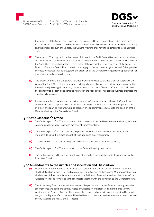**T.** +49 (0)221/92004-0 **F.** +49 (0)221/92004-29 www.dgsv.de Info@dgsv.de



the activities of the Supervisory Board and the Executive Board for compliance with the Articles of Association and the Association Regulations, compliance with the resolutions of the General Meeting and the proper conduct of business. The General Meeting shall have the authority to issue a limited order.

- **(2)** The term of office may be limited upon appointment to the Audit Committee and shall conclude no later than the end of the term of office of the Supervisory Board. Re-election is possible. Members of the Audit Committee shall not be in the employ of the Association or of a member of the Supervisory Board or Executive Board. This stipulation shall apply to the two previous years as well. Other possible conflicts of interest shall be brought to the attention of the General Meeting prior to appointment or, if later, at the earliest possible time.
- **(3)** The Executive Board and the Supervisory Board shall be obliged to provide their full support to the work of the Audit Committee, promptly providing all material resources and documents required for the audit and providing all necessary information at short notice. The Audit Committee shall have the authority to inspect all ledgers and writings of the Association, inspect the business premises and question all employees.
- **(4)** Insofar as required in exceptional cases for the audit of complex matters, the Audit Committee shall be authorised to propose to the General Meeting or the Supervisory Board the appointment of expert third parties who are sworn to secrecy; this appointment is subject to the decision of the General Meeting or the Supervisory Board.

#### **§ 11 Ombudsperson's Office**

- **(1)** The Ombudsperson's Office shall consist of two persons appointed by the General Meeting for three years and shall include at least one member of the Association.
- **(2)** The Ombudsperson's Office receives complaints from customers and clients of Association members. Their work is aimed at conflict resolution and quality assurance.
- **(3)** Ombudspersons shall have an obligation to maintain confidentiality and impartiality.
- **(4)** The Ombudsperson's Office shall report to the General Meeting on its work.
- **(5)** The Ombudsperson's Office shall adopt rules of procedure that shall be subject to approval by the Executive Board.

#### **§ 12 Amendments to the Articles of Association and Dissolution**

- **(1)** Decisions on amendments to the Articles of Association and the dissolution of the Association shall be taken based on a two-thirds majority of the votes cast at the General Meeting. Abstentions shall not count. Proposals for amendments to the Articles of Association and for dissolution of the Association shall be forwarded to the members together with the invitation to the General Meeting.
- **(2)** The Supervisory Board is entitled, even without the participation of the General Meeting, to make amendments and additions to the Articles of Association or on resolved amendments to/new versions of the Articles of Association, subject to a two-thirds majority vote, as specified to permit entry to the Register of Associations. They shall be communicated to the members no later than with the invitation to the next General Meeting.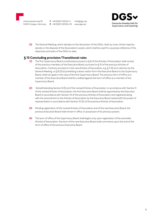50674 Cologne, Germany **T.** +49 (0)221/92004-0 **F.** +49 (0)221/92004-29 www.dgsv.de

Info@dgsv.de



**(3)** The General Meeting, which decides on the dissolution of the DGSv, shall, by a two-thirds majority, decide on the disposal of the Association's assets, which shall be used for a purpose reflective of the objectives and tasks of the DGSv to date.

## **§ 13 Concluding provision/Transitional rules**

- **(1)** The first Supervisory Board constituted pursuant to § 8 of the Articles of Association shall consist of the previous members of the Executive Board, pursuant to § 10 of the previous Articles of Association. Contrary provisions in the new Articles of Association, e.g. § 7 (3) a) on election by the General Meeting, or § 8 (3) b) prohibiting a direct switch from the Executive Board to the Supervisory Board, shall not apply in the case of the first Supervisory Board. The previous term of office as a member of the Executive Board shall be credited against the term of office as a member of the Supervisory Board.
- **(2)** Notwithstanding Section 8 (5) a) of the revised Articles of Association, in accordance with Section 9 of the revised Articles of Association, the first Executive Board shall be appointed by the Executive Board in accordance with Section 10 of the previous Articles of Association and registered along with the amendment to the Articles of Association by the Executive Board vested with the power of representation in accordance with Section 10 (2) of the previous Articles of Association.
- **(3)** Pending registration of the revised Articles of Association and of the new Executive Board, the previous Executive Board shall remain in office, in possession of its previous powers.
- **(4)** The term of office of the Supervisory Board shall begins only upon registration of the amended Articles of Association; the term of the new Executive Board shall commence upon the end of the term of office of the previous Executive Board.